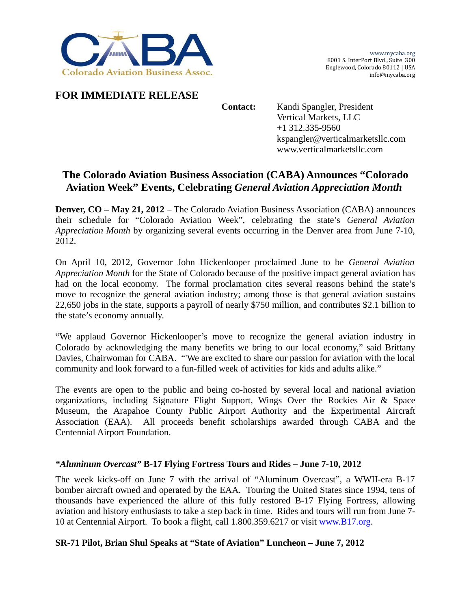

## **FOR IMMEDIATE RELEASE**

**Contact:** Kandi Spangler, President Vertical Markets, LLC +1 312.335-9560 kspangler@verticalmarketsllc.com www.verticalmarketsllc.com

# **The Colorado Aviation Business Association (CABA) Announces "Colorado Aviation Week" Events, Celebrating** *General Aviation Appreciation Month*

**Denver, CO – May 21, 2012** – The Colorado Aviation Business Association (CABA) announces their schedule for "Colorado Aviation Week", celebrating the state's *General Aviation Appreciation Month* by organizing several events occurring in the Denver area from June 7-10, 2012.

On April 10, 2012, Governor John Hickenlooper proclaimed June to be *General Aviation Appreciation Month* for the State of Colorado because of the positive impact general aviation has had on the local economy. The formal proclamation cites several reasons behind the state's move to recognize the general aviation industry; among those is that general aviation sustains 22,650 jobs in the state, supports a payroll of nearly \$750 million, and contributes \$2.1 billion to the state's economy annually.

"We applaud Governor Hickenlooper's move to recognize the general aviation industry in Colorado by acknowledging the many benefits we bring to our local economy," said Brittany Davies, Chairwoman for CABA. "'We are excited to share our passion for aviation with the local community and look forward to a fun-filled week of activities for kids and adults alike."

The events are open to the public and being co-hosted by several local and national aviation organizations, including Signature Flight Support, Wings Over the Rockies Air & Space Museum, the Arapahoe County Public Airport Authority and the Experimental Aircraft Association (EAA). All proceeds benefit scholarships awarded through CABA and the Centennial Airport Foundation.

### *"Aluminum Overcast"* **B-17 Flying Fortress Tours and Rides – June 7-10, 2012**

The week kicks-off on June 7 with the arrival of "Aluminum Overcast", a WWII-era B-17 bomber aircraft owned and operated by the EAA. Touring the United States since 1994, tens of thousands have experienced the allure of this fully restored B-17 Flying Fortress, allowing aviation and history enthusiasts to take a step back in time. Rides and tours will run from June 7- 10 at Centennial Airport. To book a flight, call 1.800.359.6217 or visit www.B17.org.

### **SR-71 Pilot, Brian Shul Speaks at "State of Aviation" Luncheon – June 7, 2012**